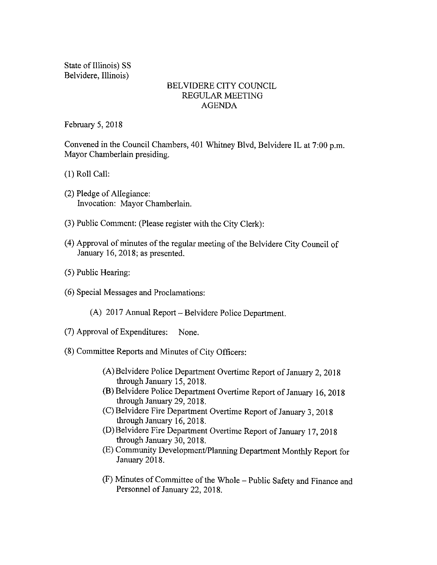State of Illinois) SS Belvidere, Illinois)

## BELVIDERE CITY COUNCIL REGULAR MEETING AGENDA

February 5, 2018

Convened in the Council Chambers, 401 Whitney Blvd, Belvidere IL at 7:00 p.m. Mayor Chamberlain presiding.

1) Roll Call:

- 2) Pledge of Allegiance: Invocation: Mayor Chamberlain.
- 3) Public Comment: ( Please register with the City Clerk):
- 4) Approval of minutes of the regular meeting of the Belvidere City Council of January 16, 2018; as presented.
- 5) Public Hearing:
- 6) Special Messages and Proclamations:
	- A) 2017 Annual Report— Belvidere Police Department.
- 7) Approval of Expenditures: None.
- 8) Committee Reports and Minutes of City Officers:
	- A) Belvidere Police Department Overtime Report of January 2, 2018 through January 15, 2018.
	- B) Belvidere Police Department Overtime Report of January 16, 2018 through January 29, 2018.
	- C) Belvidere Fire Department Overtime Report of January 3, 2018 through January 16, 2018.
	- D) Belvidere Fire Department Overtime Report of January 17, 2018 through January 30, 2018.
	- E) Community Development/ Planning Department Monthly Report for January 2018.
	- F) Minutes of Committee of the Whole— Public Safety and Finance and Personnel of January 22, 2018.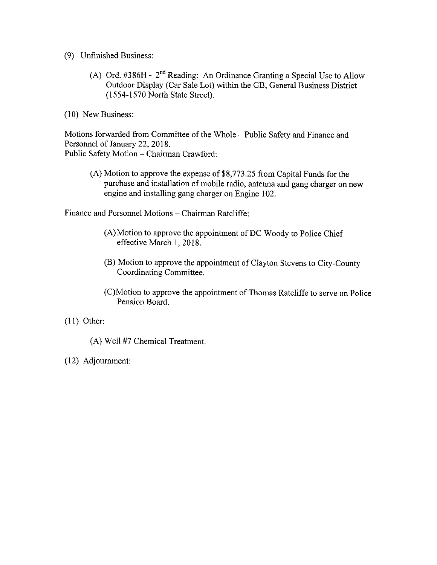9) Unfinished Business:

A) Ord.  $\#386H - 2^{nd}$  Reading: An Ordinance Granting a Special Use to Allow Outdoor Display ( Car Sale Lot) within the GB, General Business District 1554- 1570 North State Street).

10) New Business:

Motions forwarded from Committee of the Whole— Public Safety and Finance and Personnel of January 22, 2018. Public Safety Motion—Chairman Crawford:

(A) Motion to approve the expense of \$8,773.25 from Capital Funds for the purchase and installation of mobile radio, antenna and gang charger on new engine and installing gang charger on Engine 102.

Finance and Personnel Motions—Chairman Ratcliffe:

- A) Motion to approve the appointment of DC Woody to Police Chief effective March 1, 2018.
- B) Motion to approve the appointment of Clayton Stevens to City- County Coordinating Committee.
- C) Motion to approve the appointment of Thomas Ratcliffe to serve on Police Pension Board.
- 11) Other:
	- A) Well 47 Chemical Treatment.
- 12) Adjournment: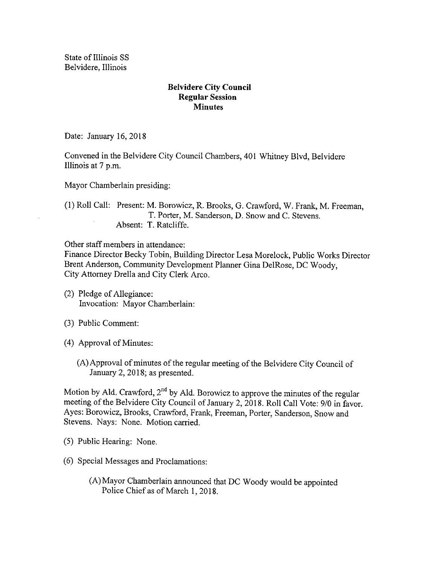State of Illinois SS Belvidere, Illinois

## Belvidere City Council Regular Session **Minutes**

Date: January 16, 2018

Convened in the Belvidere City Council Chambers, 401 Whitney Blvd, Belvidere Illinois at 7 p.m.

Mayor Chamberlain presiding:

1) Roll Call: Present: M. Borowicz, R. Brooks, G. Crawford, W. Frank, M. Freeman, T. Porter, M. Sanderson, D. Snow and C. Stevens. Absent: T. Ratcliffe.

Other staff members in attendance:

Finance Director Becky Tobin, Building Director Lesa Morelock, Public Works Director Brent Anderson, Community Development Planner Gina DelRose, DC Woody, City Attorney Drella and City Clerk Arco.

- 2) Pledge of Allegiance: Invocation: Mayor Chamberlain:
- 3) Public Comment:
- 4) Approval of Minutes:
	- A) Approval of minutes of the regular meeting of the Belvidere City Council of January 2, 2018; as presented.

Motion by Ald. Crawford,  $2^{\text{nd}}$  by Ald. Borowicz to approve the minutes of the regular meeting of the Belvidere City Council of January 2, 2018. Roll Call Vote: 9/0 in favor. Ayes: Borowicz, Brooks, Crawford, Frank, Freeman, Porter, Sanderson, Snow and Stevens. Nays: None. Motion carried.

- 5) Public Hearing: None.
- 6) Special Messages and Proclamations:
	- A) Mayor Chamberlain announced that DC Woody would be appointed Police Chief as of March 1, 2018.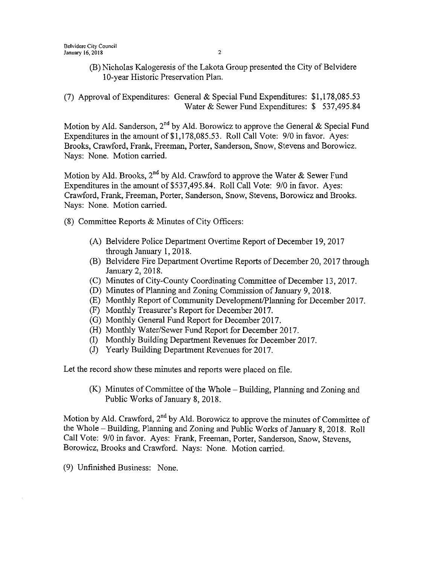B) Nicholas Kalogeresis of the Lakota Group presented the City of Belvidere 10- year Historic Preservation Plan.

(7) Approval of Expenditures: General  $&$  Special Fund Expenditures: \$1,178,085.53 Water & Sewer Fund Expenditures: \$ 537,495.84

Motion by Ald. Sanderson, 2<sup>nd</sup> by Ald. Borowicz to approve the General & Special Fund Expenditures in the amount of \$1,178,085.53. Roll Call Vote: 9/0 in favor. Ayes: Brooks, Crawford, Frank, Freeman, Porter, Sanderson, Snow, Stevens and Borowicz. Nays: None. Motion carried.

Motion by Ald. Brooks,  $2^{\text{nd}}$  by Ald. Crawford to approve the Water  $\&$  Sewer Fund Expenditures in the amount of \$537,495.84. Roll Call Vote: 9/0 in favor. Ayes: Crawford, Frank, Freeman, Porter, Sanderson, Snow, Stevens, Borowicz and Brooks. Nays: None. Motion carried.

- 8) Committee Reports & Minutes of City Officers:
	- A) Belvidere Police Department Overtime Report of December 19, 2017 through January 1, 2018.
	- B) Belvidere Fire Department Overtime Reports of December 20, 2017 through January 2, 2018.
	- C) Minutes of City- County Coordinating Committee of December 13, 2017.
	- D) Minutes of Planning and Zoning Commission of January 9, 2018.
	- E) Monthly Report of Community Development/ Planning for December 2017.
	- F) Monthly Treasurer' <sup>s</sup> Report for December 2017.
	- G) Monthly General Fund Report for December 2017.
	- (H) Monthly Water/Sewer Fund Report for December 2017.
	- I) Monthly Building Department Revenues for December 2017.
	- J) Yearly Building Department Revenues for 2017.

Let the record show these minutes and reports were placed on file.

K) Minutes of Committee of the Whole— Building, Planning and Zoning and Public Works of January 8, 2018.

Motion by Ald. Crawford,  $2<sup>nd</sup>$  by Ald. Borowicz to approve the minutes of Committee of the Whole— Building, Planning and Zoning and Public Works of January 8, 2018. Roll Call Vote: 9/0 in favor. Ayes: Frank, Freeman, Porter, Sanderson, Snow, Stevens, Borowicz, Brooks and Crawford. Nays: None. Motion carried.

9) Unfinished Business: None.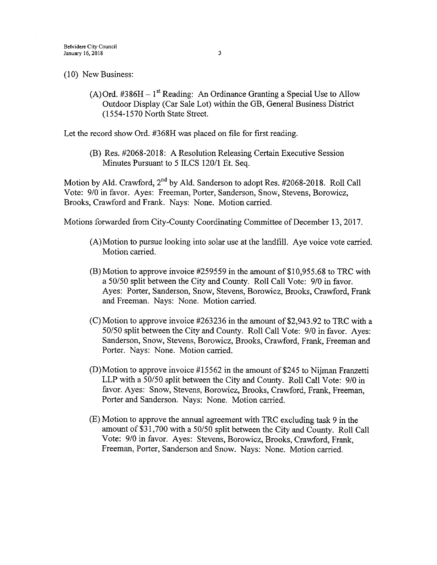10) New Business:

A) Ord. #386H - 1<sup>st</sup> Reading: An Ordinance Granting a Special Use to Allow Outdoor Display ( Car Sale Lot) within the GB, General Business District 1554- 1570 North State Street.

Let the record show Ord. #368H was placed on file for first reading.

(B) Res. #2068-2018: A Resolution Releasing Certain Executive Session Minutes Pursuant to 5 ILCS 120/1 Et. Seq.

Motion by Ald. Crawford, 2<sup>nd</sup> by Ald. Sanderson to adopt Res. #2068-2018. Roll Cal Vote: 9/0 in favor. Ayes: Freeman, Porter, Sanderson, Snow, Stevens, Borowicz, Brooks, Crawford and Frank. Nays: None. Motion carried.

Motions forwarded from City-County Coordinating Committee of December 13, 2017.

- A) Motion to pursue looking into solar use at the landfill. Aye voice vote carried. Motion carried.
- $(B)$  Motion to approve invoice #259559 in the amount of \$10,955.68 to TRC with a 50/50 split between the City and County. Roll Call Vote: 9/0 in favor. Ayes: Porter, Sanderson, Snow, Stevens, Borowicz, Brooks, Crawford, Frank and Freeman. Nays: None. Motion carried.
- $(C)$  Motion to approve invoice #263236 in the amount of \$2,943.92 to TRC with a 50/50 split between the City and County. Roll Call Vote: 9/0 in favor. Ayes: Sanderson, Snow, Stevens, Borowicz, Brooks, Crawford, Frank, Freeman and Porter. Nays: None. Motion carried.
- $(D)$  Motion to approve invoice #15562 in the amount of \$245 to Nijman Franzetti LLP with a  $50/50$  split between the City and County. Roll Call Vote:  $9/0$  in favor. Ayes: Snow, Stevens, Borowicz, Brooks, Crawford, Frank, Freeman, Porter and Sanderson. Nays: None. Motion carried.
- E) Motion to approve the annual agreement with TRC excluding task 9 in the amount of \$31,700 with a 50/50 split between the City and County. Roll Call Vote: 9/0 in favor. Ayes: Stevens, Borowicz, Brooks, Crawford, Frank, Freeman, Porter, Sanderson and Snow. Nays: None. Motion carried.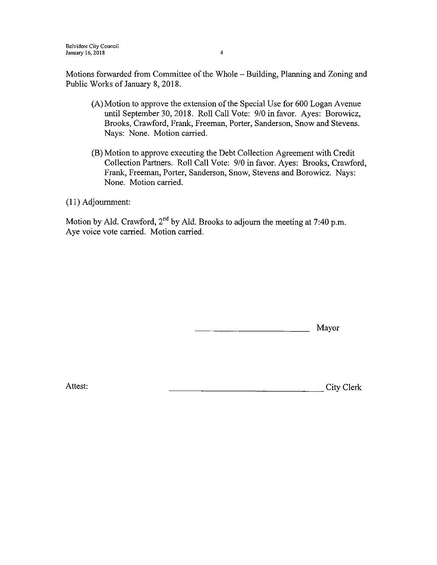Motions forwarded from Committee of the Whole— Building, Planning and Zoning and Public Works of January 8, 2018.

- A) Motion to approve the extension of the Special Use for 600 Logan Avenue until September 30, 2018. Roll Call Vote: 9/0 in favor. Ayes: Borowicz, Brooks, Crawford, Frank, Freeman, Porter, Sanderson, Snow and Stevens. Nays: None. Motion carried.
- B) Motion to approve executing the Debt Collection Agreement with Credit Collection Partners. Roll Call Vote: 9/0 in favor. Ayes: Brooks, Crawford, Frank, Freeman, Porter, Sanderson, Snow, Stevens and Borowicz. Nays: None. Motion carried.

11) Adjournment:

Motion by Ald. Crawford,  $2<sup>nd</sup>$  by Ald. Brooks to adjourn the meeting at 7:40 p.m. Aye voice vote carried. Motion carried.

Mayor

Attest: City Clerk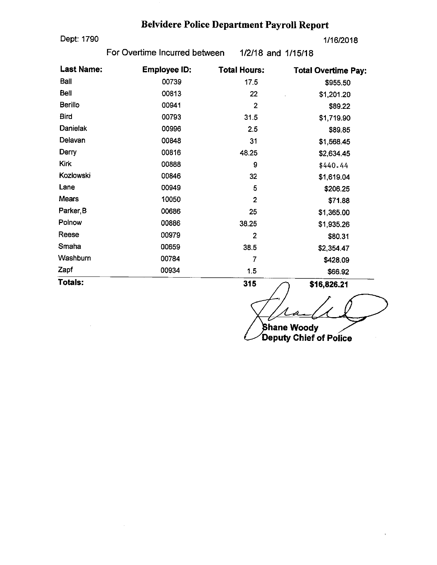# Belvidere Police Department Payroll Report

Dept: 1790 1/16/2018

 $\mathcal{L}$ 

For Overtime Incurred between 1/2/18 and 1/15/18

| <b>Last Name:</b> | <b>Employee ID:</b> | <b>Total Hours:</b>     | <b>Total Overtime Pay:</b> |
|-------------------|---------------------|-------------------------|----------------------------|
| Ball              | 00739               | 17.5                    | \$955.50                   |
| <b>Bell</b>       | 00813               | 22                      | \$1,201.20                 |
| Berillo           | 00941               | $\overline{2}$          | \$89.22                    |
| <b>Bird</b>       | 00793               | 31.5                    | \$1,719.90                 |
| Danielak          | 00996               | 2.5                     | \$89.85                    |
| Delavan           | 00848               | 31                      | \$1,568.45                 |
| Derry             | 00816               | 48.25                   | \$2,634.45                 |
| <b>Kirk</b>       | 00888               | 9                       | \$440.44                   |
| Kozlowski         | 00846               | 32                      | \$1,619.04                 |
| Lane              | 00949               | 5                       | \$206.25                   |
| <b>Mears</b>      | 10050               | $\overline{2}$          | \$71.88                    |
| Parker, B         | 00686               | 25                      | \$1,365.00                 |
| Polnow            | 00886               | 38.25                   | \$1,935.26                 |
| Reese             | 00979               | $\overline{\mathbf{c}}$ | \$80.31                    |
| Smaha             | 00659               | 38.5                    | \$2,354.47                 |
| Washburn          | 00784               | 7                       | \$428.09                   |
| Zapf              | 00934               | 1.5                     | \$66.92                    |
| Totals:           |                     | 315                     | \$16,826.21                |

hane Woody

Deputy Chief of Police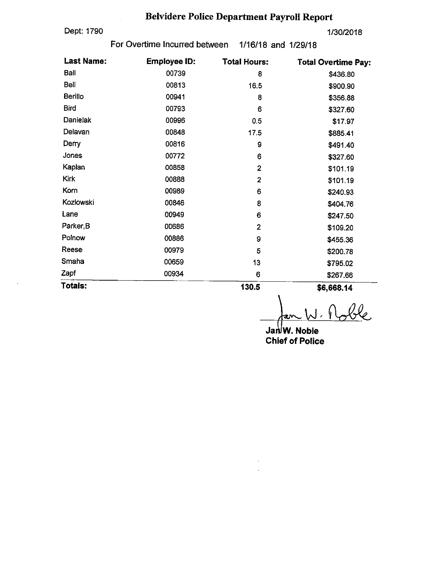# Belvidere Police Department Payroll Report

Dept: 1790 1/30/2018

 $\ddot{\phantom{a}}$ 

For Overtime Incurred between 1/16/18 and 1/29/18

| <b>Last Name:</b><br><b>Employee ID:</b> |       | <b>Total Hours:</b>     | <b>Total Overtime Pay:</b> |
|------------------------------------------|-------|-------------------------|----------------------------|
| Ball                                     | 00739 | 8                       | \$436.80                   |
| Bell                                     | 00813 | 16.5                    | \$900.90                   |
| <b>Berillo</b>                           | 00941 | 8                       | \$356.88                   |
| <b>Bird</b>                              | 00793 | 6                       | \$327.60                   |
| Danielak                                 | 00996 | 0.5                     | \$17.97                    |
| Delavan                                  | 00848 | 17.5                    | \$885.41                   |
| Derry                                    | 00816 | 9                       | \$491.40                   |
| Jones                                    | 00772 | 6                       | \$327.60                   |
| Kaplan                                   | 00858 | $\boldsymbol{2}$        | \$101.19                   |
| Kirk                                     | 00888 | 2                       | \$101.19                   |
| Korn                                     | 00989 | 6                       | \$240.93                   |
| Kozlowski                                | 00846 | 8                       | \$404.76                   |
| Lane                                     | 00949 | 6                       | \$247.50                   |
| Parker <sub>,B</sub>                     | 00686 | $\overline{\mathbf{z}}$ | \$109.20                   |
| Polnow                                   | 00886 | 9                       | \$455.36                   |
| Reese                                    | 00979 | 5                       | \$200.78                   |
| Smaha                                    | 00659 | 13                      | \$795.02                   |
| Zapf                                     | 00934 | 6                       | \$267.66                   |
| Totals:                                  |       | 130.5                   | \$6,668.14                 |

 $\mathbf 3$ <u>ما</u>

Jan<sup>j</sup>W. Noble Chief of Police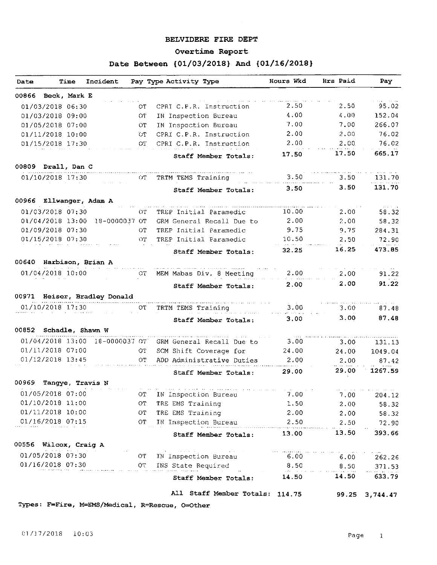#### BELVIDERE FIRE DEPT

 $\sim$ 

#### Overtime Report

## Date Between { 01/ 03/ 2018} And { 01/ 16/ 2018 }

| Date  |                        | Time | Incident                       |      | Pay Type Activity Type                                                                                            | Hours Wkd | Hrs Paid | Pay              |
|-------|------------------------|------|--------------------------------|------|-------------------------------------------------------------------------------------------------------------------|-----------|----------|------------------|
|       | 00866 Beck, Mark E     |      |                                |      |                                                                                                                   |           |          |                  |
|       | 01/03/2018 06:30       |      |                                | OТ   | CPRI C.P.R. Instruction                                                                                           | 2.50      | 2.50     | 95.02            |
|       | 01/03/2018 09:00       |      |                                | CT   | IN Inspection Bureau                                                                                              | 4.00      | 4.00     | 152.04           |
|       | 01/05/2018 07:00       |      |                                | OT.  | IN Inspection Bureau                                                                                              | 7.00      | 7.00     | 266.07           |
|       | 01/11/2018 10:00       |      |                                | ΰT   | CPRI C.P.R. Instruction                                                                                           | 2.00      | 2,00     | 76.02            |
|       | 01/15/2018 17:30       |      |                                | OT.  | CPRI C.P.R. Instruction                                                                                           | 2.00      | 2.00     | 76.02            |
|       |                        |      |                                |      | Staff Member Totals:                                                                                              | 17.50     | 17.50    | 665.17           |
|       | 00809 Drall, Dan C     |      |                                |      |                                                                                                                   |           |          |                  |
|       | 01/10/2018 17:30       |      |                                | OT.  | TRTM TEMS Training                                                                                                | 3.50      | 3.50     | 131.70           |
|       |                        |      |                                |      | Staff Member Totals:                                                                                              | 3.50      | 3.50     | 131.70           |
|       |                        |      | 00966 Ellwanger, Adam A        |      |                                                                                                                   |           |          |                  |
|       | 01/03/2018 07:30       |      |                                | OT.  | TREP Initial Paramedic                                                                                            | 10.00     | 2.00     | 58.32            |
|       |                        |      | 01/04/2018 13:00 18-0000037 OT |      | GRM General Recall Due to                                                                                         | 2.00      | 2.00     | 58.32            |
|       | 01/09/2018 07:30       |      |                                | OT.  | TREP Initial Paramedic                                                                                            | 9.75      | 9.75     | 284.31           |
|       | 01/15/2018 07:30       |      |                                | OT - | TREP Initial Paramedic                                                                                            | 10.50     | 2.50     | 72.90            |
|       |                        |      |                                |      | Staff Member Totals:                                                                                              | 32.25     | 16.25    | 473.85           |
|       |                        |      | 00640 Harbison, Brian A        |      |                                                                                                                   |           |          |                  |
|       | 01/04/2018 10:00       |      |                                | CT.  | MEM Mabas Div. 8 Meeting                                                                                          | 2.00      | 2,00     | 91.22            |
|       |                        |      |                                |      | Staff Member Totals:                                                                                              | 2.00      | 2.00     | 91.22            |
|       |                        |      | 00971 Heiser, Bradley Donald   |      |                                                                                                                   |           |          |                  |
|       | 01/10/2018 17:30       |      |                                | OT.  | TRTM TEMS Training                                                                                                | 3.00      | 3.00     | 87.48            |
|       |                        |      |                                |      | Staff Member Totals:                                                                                              | 3.00      | 3.00     | 87.48            |
|       | 00852 Schadle, Shawn W |      |                                |      |                                                                                                                   |           |          |                  |
|       |                        |      | 01/04/2018 13:00 18-0000037 0T |      | GRM General Recall Due to                                                                                         | 3.00      | 3.00     | 131.13           |
|       | 01/11/2018 07:00       |      |                                | ОT   | SCM Shift Coverage for                                                                                            | 24.00     | 24.00    | 1049.04          |
|       | $01/12/2018$ 13:45     |      |                                | OT   | ADD Administrative Duties                                                                                         | 2.00      | 2.00     | 87.42            |
|       |                        |      |                                |      | Staff Member Totals:                                                                                              | 29.00     | 29.00    | 1267.59          |
| 00969 |                        |      | Tangye, Travis N               |      |                                                                                                                   |           |          |                  |
|       | 01/05/2018 07:00       |      |                                | OТ   | IN Inspection Bureau                                                                                              | 7.00      | 7.00     | 204.12           |
|       | 01/10/2018 11:00       |      |                                | OT.  | TRE EMS Training                                                                                                  | 1.50      | 2.00     | 58.32            |
|       | 01/11/2018 10:00       |      |                                | ОT   | TRE EMS Training                                                                                                  | 2.00      | 2.00     | 58.32            |
|       | 01/16/2018 07:15       |      |                                | OT.  | IN Inspection Bureau 2.50                                                                                         |           | 2.50     | 72.90            |
|       |                        |      |                                |      | Staff Member Totals:                                                                                              | 13.00     | 13.50    | 393.66           |
|       | 00556 Wilcox, Craig A  |      |                                |      |                                                                                                                   |           |          |                  |
|       | 01/05/2018 07:30       |      |                                | O(T) | and the second control of the second control of the second control and control of the second second second second |           |          |                  |
|       | 01/16/2018 07:30       |      |                                | OT.  | IN Inspection Bureau 6.00                                                                                         |           | 6.00     | 262.26           |
|       |                        |      |                                |      | INS State Required 8.50 8.50                                                                                      |           | 14.50    | 371.53<br>633.79 |
|       |                        |      |                                |      | Staff Member Totals: 14.50                                                                                        |           |          |                  |
|       |                        |      |                                |      | All Staff Member Totals: 114.75                                                                                   |           | 99.25    | 3,744.47         |

Types: F=Fire, M=EMS/Medical, R=Rescue, O=Other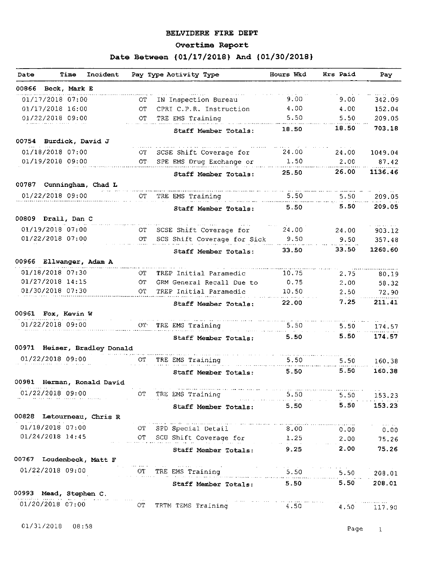#### BELVIDERE FIRE DEPT

## Overtime Report

## Date Between { 01/17/2018} And { 01/30/2018}

| Date  | Incident<br>Time                                            |     | Pay Type Activity Type                                                                                                                | Hours Wkd                                                  | Hrs Paid | Pay              |
|-------|-------------------------------------------------------------|-----|---------------------------------------------------------------------------------------------------------------------------------------|------------------------------------------------------------|----------|------------------|
|       | 00866 Beck, Mark E                                          |     |                                                                                                                                       |                                                            |          |                  |
|       | 01/17/2018 07:00                                            | OТ  | IN Inspection Bureau                                                                                                                  | 9.00                                                       | 9.00     | 342.09           |
|       | 01/17/2018 16:00                                            | ОT  | CPRI C.P.R. Instruction                                                                                                               | 4,00                                                       | 4.00     | 152.04           |
|       | 01/22/2018 09:00                                            | ОT  | TRE EMS Training                                                                                                                      | 5.50                                                       | 5.50     | 209.05           |
|       |                                                             |     | Staff Member Totals:                                                                                                                  | 18.50                                                      | 18.50    | 703.18           |
|       | 00754 Burdick, David J                                      |     |                                                                                                                                       |                                                            |          |                  |
|       | 01/18/2018 07:00                                            | OT. | SCSE Shift Coverage for                                                                                                               | 24.00                                                      | 24.00    | 1049.04          |
|       | 01/19/2018 09:00                                            | OT  | SPE EMS Drug Exchange or                                                                                                              | 1.50                                                       | 2.00     | 87.42            |
|       |                                                             |     | Staff Member Totals:                                                                                                                  | 25.50                                                      | 26.00    | 1136.46          |
|       | 00787 Cunningham, Chad L                                    |     |                                                                                                                                       |                                                            |          |                  |
|       | 01/22/2018 09:00                                            | OT. | TRE EMS Training                                                                                                                      | 5.50                                                       | 5.50     | 209.05           |
|       |                                                             |     | Staff Member Totals:                                                                                                                  | 5.50                                                       | 5.50     | 209.05           |
|       | 00809 Drall, Dan C                                          |     |                                                                                                                                       |                                                            |          |                  |
|       | 01/19/2018 07:00                                            | OT. | SCSE Shift Coverage for                                                                                                               | 24.00                                                      | 24.00    | 903.12           |
|       | 01/22/2018 07:00                                            | OT. | SCS Shift Coverage for Sick                                                                                                           | 9.50                                                       | 9.50     | 357.48           |
|       |                                                             |     | Staff Member Totals:                                                                                                                  | 33.50                                                      | 33.50    | 1260.60          |
|       | 00966 Ellwanger, Adam A                                     |     |                                                                                                                                       |                                                            |          |                  |
|       | 01/18/2018 07:30                                            | OT. | TREP Initial Paramedic                                                                                                                | 10.75                                                      | 2.75     | 80.19            |
|       | 01/27/2018 14:15                                            | OТ  | GRM General Recall Due to                                                                                                             | 0.75                                                       | 2.00     | 58.32            |
|       | 01/30/2018 07:30                                            | OT. | TREP Initial Paramedic                                                                                                                | 10.50                                                      | 2.50     | 72.90            |
|       |                                                             |     | Staff Member Totals:                                                                                                                  | 22.00                                                      | 7.25     | 211.41           |
|       | 00961 Fox, Kevin W                                          |     |                                                                                                                                       |                                                            |          |                  |
|       | 01/22/2018 09:00                                            | OT. | TRE EMS Training                                                                                                                      | 5.50                                                       | 5.50     | 174.57           |
|       |                                                             |     | Staff Member Totals:                                                                                                                  | 5.50                                                       | 5.50     | 174.57           |
|       | 00971 Heiser, Bradley Donald                                |     |                                                                                                                                       |                                                            |          |                  |
|       | 01/22/2018 09:00                                            | СT  | TRE EMS Training                                                                                                                      | 5.50                                                       | 5.50     | 160.38           |
|       |                                                             |     | Staff Member Totals:                                                                                                                  | 5.50                                                       | 5.50     | 160.38           |
| 00981 | Herman, Ronald David                                        |     |                                                                                                                                       |                                                            |          |                  |
|       |                                                             |     | 01/22/2018 09:00 OT TRE EMS Training 5.50 5.50 153.23<br>Staff Member Totals: 5.50 5.50 153.23                                        |                                                            |          |                  |
|       |                                                             |     |                                                                                                                                       |                                                            |          |                  |
|       | 00828 Letourneau, Chris R                                   |     |                                                                                                                                       |                                                            |          |                  |
|       | 01/18/2018 07:00                                            | OT  | الموجبون ويرودهم ومستوجع فكمرقط ومقود وبالمناصر متسلمين سسانية التهميين ووودوه وموقعا سرائك يستاس ويتبد ينادرنا<br>SPD Special Detail | $8.00$ 0.00 0.00                                           |          | and the same and |
|       | 01/24/2018 14:45                                            |     |                                                                                                                                       |                                                            |          |                  |
|       |                                                             |     | OT SCU Shift Coverage for 1.25 2.00 75.26<br>Staff Member Totals: 9.25 2.00 75.26                                                     |                                                            |          |                  |
|       | 00767 Loudenbeck, Matt F                                    |     |                                                                                                                                       |                                                            |          |                  |
|       |                                                             |     | 01/22/2018 09:00 OT TRE EMS Training 5.50 5.50 5.50 208.01                                                                            |                                                            |          |                  |
|       |                                                             |     |                                                                                                                                       |                                                            |          |                  |
|       |                                                             |     | Staff Member Totals: 5.50 5.50                                                                                                        |                                                            |          | 208.01           |
|       | 00993 Mead, Stephen C.<br>.<br>See jaar ke oo saa saa saa s |     | the control of the control of the                                                                                                     |                                                            |          |                  |
|       | 01/20/2018 07:00 OT                                         |     | TRTM TEMS Training                                                                                                                    | $\frac{1}{4.50}$ and $\frac{1}{4.50}$ and $\frac{1}{4.50}$ |          | 4.50 117.90      |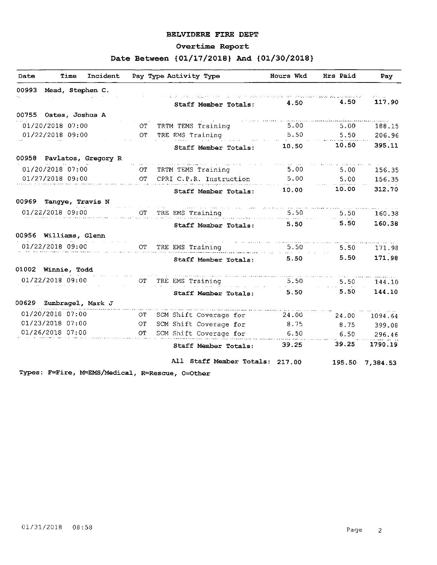#### BELVIDERE FIRE DEPT

#### Overtime Report

## Date Between { 01/17/2018} And { 01/30/2018}

| 00993<br>Mead, Stephen C. |                                              |        |        | Pay              |
|---------------------------|----------------------------------------------|--------|--------|------------------|
|                           |                                              |        |        |                  |
| ski cirk                  | Staff Member Totals:                         | 4.50   | 4.50   | n call<br>117.90 |
| 00755 Oates, Joshua A     |                                              |        |        |                  |
| 01/20/2018 07:00          | TRTM TEMS Training<br>OT.                    | 5.00   | 5.00   | 188.15           |
| 01/22/2018 09:00          | TRE EMS Training<br>OT.                      | 5.50   | 5.50   | 206.96           |
|                           | Staff Member Totals:                         | 10.50  | 10.50  | 395.11           |
| 00958 Pavlatos, Gregory R |                                              |        |        |                  |
| 01/20/2018 07:00          | TRTM TEMS Training<br>OТ                     | 5.00   | 5.00   | 156.35           |
| 01/27/2018 09:00          | $\overline{C}$<br>CPRI C.P.R. Instruction    | 5.00   | 5.00   | 156.35           |
|                           | Staff Member Totals:                         | 10.00  | 10.00  | 312.70           |
| 00969<br>Tangye, Travis N |                                              |        |        |                  |
| 01/22/2018 09:00          | TRE EMS Training<br>OT.                      | 5.50   | 5.50   | 160.38           |
|                           | Staff Member Totals:                         | 5.50   | 5.50   | 160.38           |
| 00956 Williams, Glenn     |                                              |        |        |                  |
| 01/22/2018 09:00          | $\mathcal{O}\mathcal{T}$<br>TRE EMS Training | 5.50   | 5.50   | 171.98           |
|                           | Staff Member Totals:                         | 5.50   | 5.50   | 171.98           |
| 01002 Winnie, Todd        |                                              |        |        |                  |
| 01/22/2018 09:00          | TRE EMS Training<br>OТ                       | 5.50   | 5.50   | 144.10           |
|                           | Staff Member Totals:                         | 5.50   | 5.50   | 144.10           |
| 00629 Zumbragel, Mark J   |                                              |        |        |                  |
| 01/20/2018 07:00          | SCM Shift Coverage for<br>OТ                 | 24.00  | 24.00  | 1094.64          |
| 01/23/2018 07:00          | ОT<br>SCM Shift Coverage for                 | 8.75   | 8.75   | 399.08           |
| 01/26/2018 07:00          | SCM Shift Coverage for<br>OT.                | 6.50   | 6.50   | 296.46           |
|                           | Staff Member Totals:                         | 39.25  | 39,25  | 1790.19          |
|                           | All Staff Member Totals:                     | 217.00 | 195.50 | 7,384.53         |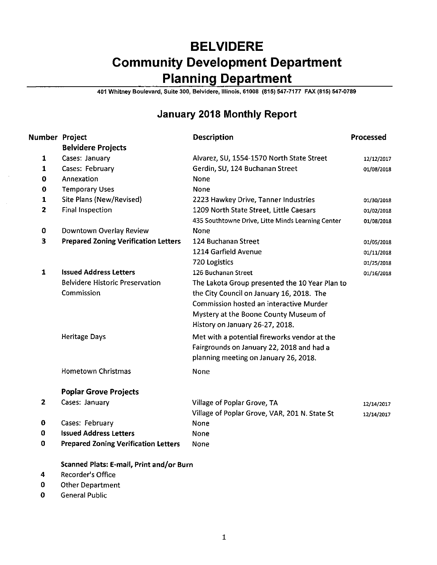# BELVIDERE Community Development Department Planning Department

401 Whitney Boulevard, Suite 300, Belvidere, Illinois, 61008 ( 815) 547- 7177 FAX( 815) 547. 0789

## January 2018 Monthly Report

| Number Project |                                                     | <b>Description</b>                                | Processed  |  |  |  |
|----------------|-----------------------------------------------------|---------------------------------------------------|------------|--|--|--|
|                | <b>Belvidere Projects</b>                           |                                                   |            |  |  |  |
| 1              | Cases: January                                      | Alvarez, SU, 1554-1570 North State Street         | 12/12/2017 |  |  |  |
| $\mathbf{1}$   | Cases: February                                     | Gerdin, SU, 124 Buchanan Street                   | 01/08/2018 |  |  |  |
| 0              | Annexation                                          | None                                              |            |  |  |  |
| 0              | <b>Temporary Uses</b>                               | None                                              |            |  |  |  |
| 1              | Site Plans (New/Revised)                            | 2223 Hawkey Drive, Tanner Industries              | 01/30/2018 |  |  |  |
| $\overline{2}$ | <b>Final Inspection</b>                             | 1209 North State Street, Little Caesars           | 01/02/2018 |  |  |  |
|                |                                                     | 435 Southtowne Drive, Litte Minds Learning Center | 01/08/2018 |  |  |  |
| 0              | Downtown Overlay Review                             | None                                              |            |  |  |  |
| 3              | <b>Prepared Zoning Verification Letters</b>         | 124 Buchanan Street                               | 01/05/2018 |  |  |  |
|                |                                                     | 1214 Garfield Avenue                              | 01/11/2018 |  |  |  |
|                |                                                     | 720 Logistics                                     | 01/25/2018 |  |  |  |
| $\mathbf{1}$   | <b>Issued Address Letters</b>                       | 126 Buchanan Street                               | 01/16/2018 |  |  |  |
|                | <b>Belvidere Historic Preservation</b>              | The Lakota Group presented the 10 Year Plan to    |            |  |  |  |
|                | Commission                                          | the City Council on January 16, 2018. The         |            |  |  |  |
|                |                                                     | Commission hosted an interactive Murder           |            |  |  |  |
|                |                                                     | Mystery at the Boone County Museum of             |            |  |  |  |
|                |                                                     | History on January 26-27, 2018.                   |            |  |  |  |
|                | <b>Heritage Days</b>                                | Met with a potential fireworks vendor at the      |            |  |  |  |
|                |                                                     | Fairgrounds on January 22, 2018 and had a         |            |  |  |  |
|                |                                                     | planning meeting on January 26, 2018.             |            |  |  |  |
|                | <b>Hometown Christmas</b>                           | None                                              |            |  |  |  |
|                | <b>Poplar Grove Projects</b>                        |                                                   |            |  |  |  |
| 2              | Cases: January                                      | Village of Poplar Grove, TA                       | 12/14/2017 |  |  |  |
|                |                                                     | Village of Poplar Grove, VAR, 201 N. State St     | 12/14/2017 |  |  |  |
| 0              | Cases: February<br>None                             |                                                   |            |  |  |  |
| 0              | <b>Issued Address Letters</b>                       | None                                              |            |  |  |  |
| 0              | <b>Prepared Zoning Verification Letters</b><br>None |                                                   |            |  |  |  |
|                | Scanned Plats: E-mail, Print and/or Burn            |                                                   |            |  |  |  |
| 4              | <b>Recorder's Office</b>                            |                                                   |            |  |  |  |
| 0              | <b>Other Department</b>                             |                                                   |            |  |  |  |
|                |                                                     |                                                   |            |  |  |  |

0 General Public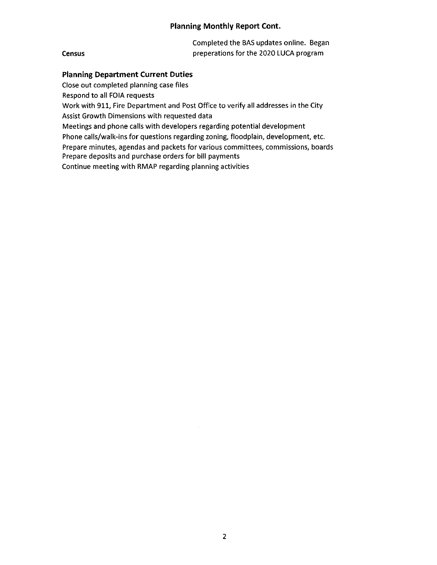### Planning Monthly Report Cont.

|        | Completed the BAS updates online. Began |  |  |
|--------|-----------------------------------------|--|--|
| Census | preperations for the 2020 LUCA program  |  |  |

### Planning Department Current Duties

Close out completed planning case files

Respond to all FOIA requests

Work with 911, Fire Department and Post Office to verify all addresses in the City Assist Growth Dimensions with requested data

Meetings and phone calls with developers regarding potential development

Phone calls/walk-ins for questions regarding zoning, floodplain, development, etc.

Prepare minutes, agendas and packets for various committees, commissions, boards Prepare deposits and purchase orders for bill payments

Continue meeting with RMAP regarding planning activities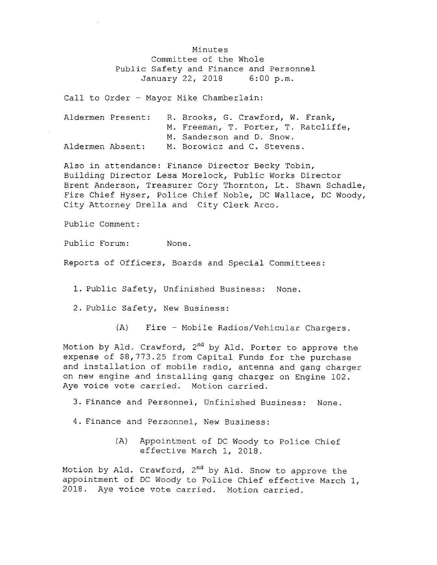Minutes Committee of the Whole Public Safety and Finance and Personnel<br>January 22, 2018 6:00 p.m. January 22, 2018

Call to Order - Mayor Mike Chamberlain:

|                  | Aldermen Present: | R. Brooks, G. Crawford, W. Frank,    |
|------------------|-------------------|--------------------------------------|
|                  |                   | M. Freeman, T. Porter, T. Ratcliffe, |
|                  |                   | M. Sanderson and D. Snow.            |
| Aldermen Absent: |                   | M. Borowicz and C. Stevens.          |

Also in attendance: Finance Director Becky Tobin, Building Director Lesa Morelock, Public Works Director Brent Anderson, Treasurer Cory Thornton, Lt . Shawn Schadle, Fire Chief Hyser, Police Chief Noble, DC Wallace, DC Woody, City Attorney Drella and City Clerk Arco.

Public Comment :

Public Forum: None.

Reports of Officers, Boards and Special Committees :

1. Public Safety, Unfinished Business: None.

2. Public Safety, New Business:

A) Fire - Mobile Radios/ Vehicular Chargers .

Motion by Ald. Crawford,  $2<sup>nd</sup>$  by Ald. Porter to approve the expense of  $$8,773.25$  from Capital Funds for the purchase and installation of mobile radio, antenna and gang charger on new engine and installing gang charger on Engine 102 . Aye voice vote carried. Motion carried.

3. Finance and Personnel, Unfinished Business: None.

4. Finance and Personnel, New Business:

A) Appointment of DC Woody to Police Chief effective March 1, 2018 .

Motion by Ald. Crawford, 2<sup>nd</sup> by Ald. Snow to approve the appointment of DC Woody to Police Chief effective March 1, 2018. Aye voice vote carried. Motion carried.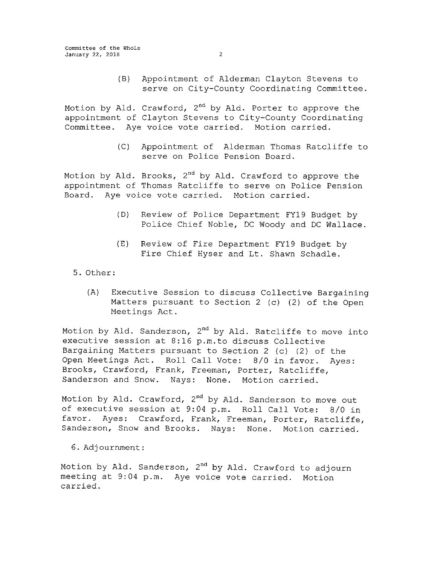B) Appointment of Alderman Clayton Stevens to serve on City-County Coordinating Committee.

Motion by Ald. Crawford, 2<sup>nd</sup> by Ald. Porter to approve the appointment of Clayton Stevens to City-County Coordinating Committee. Aye voice vote carried. Motion carried.

> C) Appointment of Alderman Thomas Ratcliffe to serve on Police Pension Board.

Motion by Ald. Brooks, 2<sup>nd</sup> by Ald. Crawford to approve the appointment of Thomas Ratcliffe to serve on Police Pension Board. Aye voice vote carried. Motion carried.

- D) Review of Police Department FY19 Budget by Police Chief Noble, DC Woody and DC Wallace.
- E) Review of Fire Department FY19 Budget by Fire Chief Hyser and Lt. Shawn Schadle.
- 5. Other:
	- A) Executive Session to discuss Collective Bargaining Matters pursuant to Section 2 (c) (2) of the Open Meetings Act .

Motion by Ald. Sanderson, 2<sup>nd</sup> by Ald. Ratcliffe to move into executive session at 8:16 p.m. to discuss Collective Bargaining Matters pursuant to Section 2 (c) (2) of the Open Meetings Act. Roll Call Vote: 8/0 in favor. Ayes: Brooks, Crawford, Frank, Freeman, Porter, Ratcliffe, Sanderson and Snow. Nays: None. Motion carried.

Motion by Ald. Crawford, 2<sup>nd</sup> by Ald. Sanderson to move out of executive session at 9:04 p.m. Roll Call Vote: 8/0 in favor. Ayes: Crawford, Frank, Freeman, Porter, Ratcliffe, Sanderson, Snow and Brooks. Nays: None. Motion carried.

6. Adjournment :

Motion by Ald. Sanderson, 2<sup>nd</sup> by Ald. Crawford to adjourn meeting at 9:04 p.m. Aye voice vote carried. Motion carried.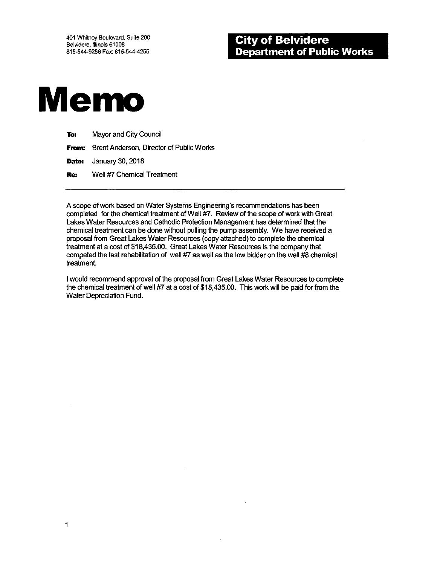

1

| To: | Mayor and City Council                                |
|-----|-------------------------------------------------------|
|     | <b>From:</b> Brent Anderson, Director of Public Works |
|     | <b>Date:</b> January 30, 2018                         |
| Re: | Well #7 Chemical Treatment                            |

A scope of work based on Water Systems Engineering's recommendations has been completed for the chemical treatment of Well #7. Review of the scope of work with Great Lakes Water Resources and Cathodic Protection Management has determined that the chemical treatment can be done without pulling the pump assembly. We have received a proposal from Great Lakes Water Resources( copy attached) to complete the chemical treatment at a cost of\$ 18,435.00. Great Lakes Water Resources is the company that competed the last rehabilitation of well  $#7$  as well as the low bidder on the well  $#8$  chemical treatment.

<sup>I</sup> would recommend approval of the proposal from Great Lakes Water Resources to complete the chemical treatment of well #7 at a cost of \$18,435.00. This work will be paid for from the Water Depreciation Fund.